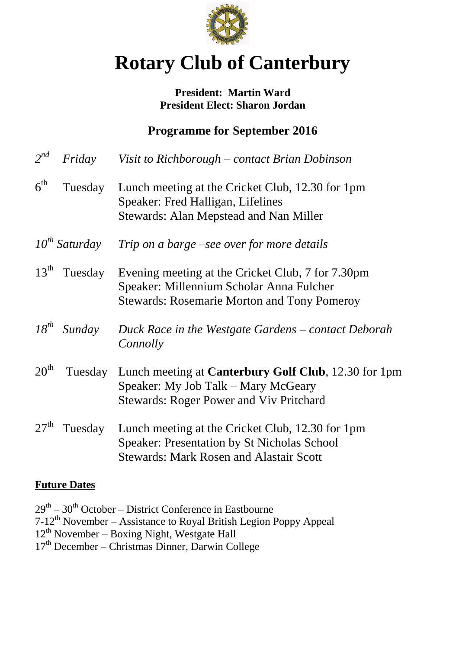

# **Rotary Club of Canterbury**

#### **President: Martin Ward President Elect: Sharon Jordan**

## **Programme for September 2016**

| $2^{nd}$         | Friday             | Visit to Richborough – contact Brian Dobinson                                                                                                            |
|------------------|--------------------|----------------------------------------------------------------------------------------------------------------------------------------------------------|
| $6^{\text{th}}$  | Tuesday            | Lunch meeting at the Cricket Club, 12.30 for 1pm<br>Speaker: Fred Halligan, Lifelines<br><b>Stewards: Alan Mepstead and Nan Miller</b>                   |
|                  | $10^{th}$ Saturday | Trip on a barge –see over for more details                                                                                                               |
| $13^{\text{th}}$ | Tuesday            | Evening meeting at the Cricket Club, 7 for 7.30pm<br>Speaker: Millennium Scholar Anna Fulcher<br><b>Stewards: Rosemarie Morton and Tony Pomeroy</b>      |
| $18^{th}$        | Sunday             | Duck Race in the Westgate Gardens – contact Deborah<br>Connolly                                                                                          |
| 20 <sup>th</sup> | Tuesday            | Lunch meeting at <b>Canterbury Golf Club</b> , 12.30 for 1pm<br>Speaker: My Job Talk – Mary McGeary<br><b>Stewards: Roger Power and Viv Pritchard</b>    |
| 27 <sup>th</sup> | Tuesday            | Lunch meeting at the Cricket Club, 12.30 for 1pm<br><b>Speaker: Presentation by St Nicholas School</b><br><b>Stewards: Mark Rosen and Alastair Scott</b> |
|                  |                    |                                                                                                                                                          |

#### **Future Dates**

| $29th - 30th$ October – District Conference in Eastbourne           |
|---------------------------------------------------------------------|
| $7-12th$ November – Assistance to Royal British Legion Poppy Appeal |
| $12th$ November – Boxing Night, Westgate Hall                       |
| $17th$ December – Christmas Dinner, Darwin College                  |